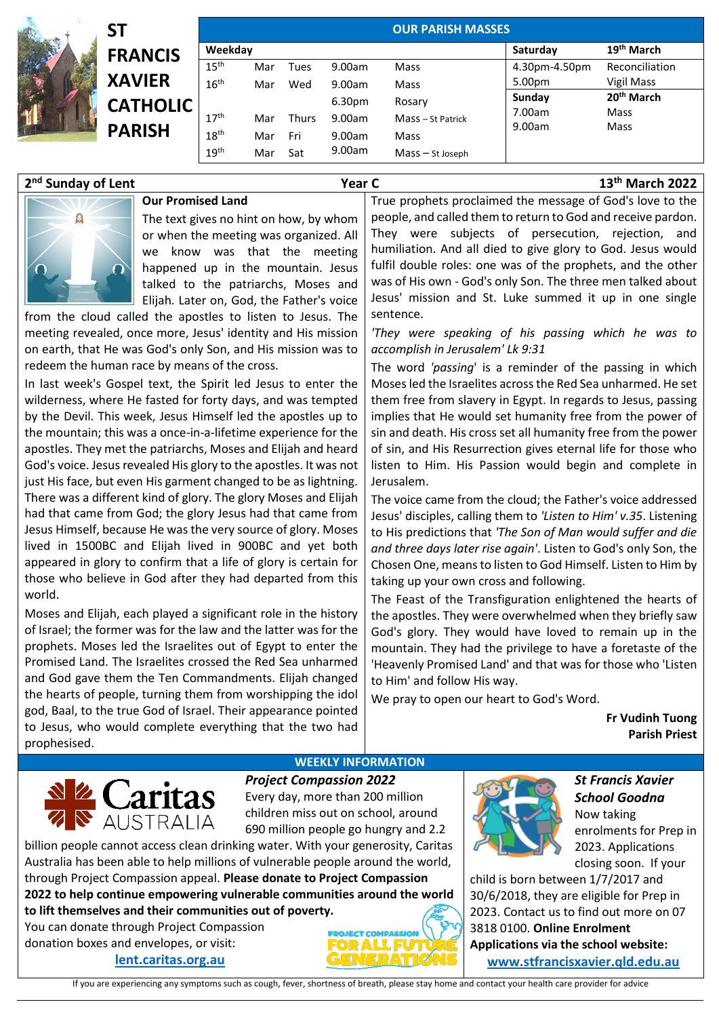|               | ST                               | <b>OUR PARISH MASSES</b> |     |              |                  |                   |                        |                        |  |  |
|---------------|----------------------------------|--------------------------|-----|--------------|------------------|-------------------|------------------------|------------------------|--|--|
| <b>READER</b> | <b>FRANCIS</b>                   | Weekday                  |     |              |                  |                   | Saturday               | 19 <sup>th</sup> March |  |  |
|               |                                  | 15 <sup>th</sup>         | Mar | Tues         | 9.00am           | Mass              | 4.30pm-4.50pm          | Reconciliation         |  |  |
|               | <b>XAVIER</b>                    | 16 <sup>th</sup>         | Mar | Wed          | 9.00am           | Mass              | 5.00pm                 | Vigil Mass             |  |  |
| $\frac{1}{2}$ | <b>CATHOLIC</b><br><b>PARISH</b> |                          |     |              | 6.30pm<br>Rosary | Sunday            | 20 <sup>th</sup> March |                        |  |  |
|               |                                  | 17 <sup>th</sup>         | Mar | <b>Thurs</b> | 9.00am           | Mass - St Patrick | 7.00am<br>9.00am       | Mass<br>Mass           |  |  |
|               |                                  | 18 <sup>th</sup>         | Mar | Fri          | 9.00am           | Mass              |                        |                        |  |  |
|               |                                  | 19 <sup>th</sup>         | Mar | Sat          | 9.00am           | Mass - St Joseph  |                        |                        |  |  |

## 2<sup>nd</sup> Sunday of Lent

**nd Sunday of Lent Year C 13th March 2022**



## **Our Promised Land**

The text gives no hint on how, by whom or when the meeting was organized. All we know was that the meeting happened up in the mountain. Jesus talked to the patriarchs, Moses and Elijah. Later on, God, the Father's voice

from the cloud called the apostles to listen to Jesus. The meeting revealed, once more, Jesus' identity and His mission on earth, that He was God's only Son, and His mission was to redeem the human race by means of the cross.

In last week's Gospel text, the Spirit led Jesus to enter the wilderness, where He fasted for forty days, and was tempted by the Devil. This week, Jesus Himself led the apostles up to the mountain; this was a once-in-a-lifetime experience for the apostles. They met the patriarchs, Moses and Elijah and heard God's voice. Jesus revealed His glory to the apostles. It was not just His face, but even His garment changed to be as lightning. There was a different kind of glory. The glory Moses and Elijah had that came from God; the glory Jesus had that came from Jesus Himself, because He was the very source of glory. Moses lived in 1500BC and Elijah lived in 900BC and yet both appeared in glory to confirm that a life of glory is certain for those who believe in God after they had departed from this world.

Moses and Elijah, each played a significant role in the history of Israel; the former was for the law and the latter was for the prophets. Moses led the Israelites out of Egypt to enter the Promised Land. The Israelites crossed the Red Sea unharmed and God gave them the Ten Commandments. Elijah changed the hearts of people, turning them from worshipping the idol god, Baal, to the true God of Israel. Their appearance pointed to Jesus, who would complete everything that the two had prophesised.

True prophets proclaimed the message of God's love to the people, and called them to return to God and receive pardon. They were subjects of persecution, rejection, and humiliation. And all died to give glory to God. Jesus would fulfil double roles: one was of the prophets, and the other was of His own - God's only Son. The three men talked about Jesus' mission and St. Luke summed it up in one single sentence.

*'They were speaking of his passing which he was to accomplish in Jerusalem' Lk 9:31*

The word *'passing*' is a reminder of the passing in which Moses led the Israelites across the Red Sea unharmed. He set them free from slavery in Egypt. In regards to Jesus, passing implies that He would set humanity free from the power of sin and death. His cross set all humanity free from the power of sin, and His Resurrection gives eternal life for those who listen to Him. His Passion would begin and complete in Jerusalem.

The voice came from the cloud; the Father's voice addressed Jesus' disciples, calling them to *'Listen to Him' v.35*. Listening to His predictions that *'The Son of Man would suffer and die and three days later rise again'*. Listen to God's only Son, the Chosen One, means to listen to God Himself. Listen to Him by taking up your own cross and following.

The Feast of the Transfiguration enlightened the hearts of the apostles. They were overwhelmed when they briefly saw God's glory. They would have loved to remain up in the mountain. They had the privilege to have a foretaste of the 'Heavenly Promised Land' and that was for those who 'Listen to Him' and follow His way.

We pray to open our heart to God's Word.

**Fr Vudinh Tuong Parish Priest**

## **WEEKLY INFORMATION**



*Project Compassion 2022* Every day, more than 200 million children miss out on school, around 690 million people go hungry and 2.2

billion people cannot access clean drinking water. With your generosity, Caritas Australia has been able to help millions of vulnerable people around the world, through Project Compassion appeal. **Please donate to Project Compassion 2022 to help continue empowering vulnerable communities around the world** 

**to lift themselves and their communities out of poverty.**

You can donate through Project Compassion donation boxes and envelopes, or visit:

## **[lent.caritas.org.au](http://www.caritas.org.au/projectcompassion)**





*St Francis Xavier School Goodna*  Now taking enrolments for Prep in 2023. Applications closing soon. If your

child is born between 1/7/2017 and 30/6/2018, they are eligible for Prep in 2023. Contact us to find out more on 07 3818 0100. **Online Enrolment Applications via the school website: [www.stfrancisxavier.qld.edu.au](https://protect-au.mimecast.com/s/3C4xCzvkN9sRgGk6IX5fwD?domain=stfrancisxavier.qld.edu.au)**